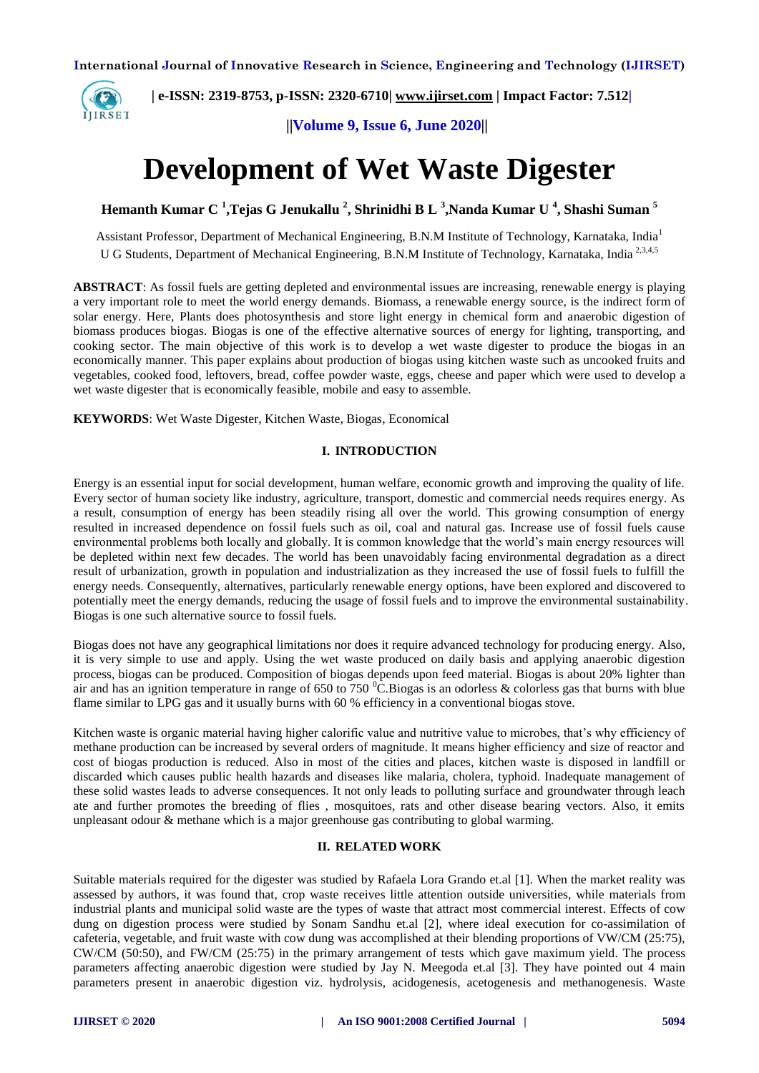

 **| e-ISSN: 2319-8753, p-ISSN: 2320-6710| [www.ijirset.com](http://www.ijirset.com/) | Impact Factor: 7.512|**

 **||Volume 9, Issue 6, June 2020||** 

# **Development of Wet Waste Digester**

**Hemanth Kumar C <sup>1</sup> ,Tejas G Jenukallu <sup>2</sup> , Shrinidhi B L <sup>3</sup> ,Nanda Kumar U <sup>4</sup> , Shashi Suman <sup>5</sup>**

Assistant Professor, Department of Mechanical Engineering, B.N.M Institute of Technology, Karnataka, India<sup>1</sup> U G Students, Department of Mechanical Engineering, B.N.M Institute of Technology, Karnataka, India<sup>2,3,4,5</sup>

**ABSTRACT**: As fossil fuels are getting depleted and environmental issues are increasing, renewable energy is playing a very important role to meet the world energy demands. Biomass, a renewable energy source, is the indirect form of solar energy. Here, Plants does photosynthesis and store light energy in chemical form and anaerobic digestion of biomass produces biogas. Biogas is one of the effective alternative sources of energy for lighting, transporting, and cooking sector. The main objective of this work is to develop a wet waste digester to produce the biogas in an economically manner*.* This paper explains about production of biogas using kitchen waste such as uncooked fruits and vegetables, cooked food, leftovers, bread, coffee powder waste, eggs, cheese and paper which were used to develop a wet waste digester that is economically feasible, mobile and easy to assemble.

**KEYWORDS**: Wet Waste Digester, Kitchen Waste, Biogas, Economical

### **I. INTRODUCTION**

Energy is an essential input for social development, human welfare, economic growth and improving the quality of life. Every sector of human society like industry, agriculture, transport, domestic and commercial needs requires energy. As a result, consumption of energy has been steadily rising all over the world. This growing consumption of energy resulted in increased dependence on fossil fuels such as oil, coal and natural gas. Increase use of fossil fuels cause environmental problems both locally and globally. It is common knowledge that the world's main energy resources will be depleted within next few decades. The world has been unavoidably facing environmental degradation as a direct result of urbanization, growth in population and industrialization as they increased the use of fossil fuels to fulfill the energy needs. Consequently, alternatives, particularly renewable energy options, have been explored and discovered to potentially meet the energy demands, reducing the usage of fossil fuels and to improve the environmental sustainability. Biogas is one such alternative source to fossil fuels.

Biogas does not have any geographical limitations nor does it require advanced technology for producing energy. Also, it is very simple to use and apply. Using the wet waste produced on daily basis and applying anaerobic digestion process, biogas can be produced. Composition of biogas depends upon feed material. Biogas is about 20% lighter than air and has an ignition temperature in range of 650 to 750  $^{\circ}$ C.Biogas is an odorless & colorless gas that burns with blue flame similar to LPG gas and it usually burns with 60 % efficiency in a conventional biogas stove.

Kitchen waste is organic material having higher calorific value and nutritive value to microbes, that's why efficiency of methane production can be increased by several orders of magnitude. It means higher efficiency and size of reactor and cost of biogas production is reduced. Also in most of the cities and places, kitchen waste is disposed in landfill or discarded which causes public health hazards and diseases like malaria, cholera, typhoid. Inadequate management of these solid wastes leads to adverse consequences. It not only leads to polluting surface and groundwater through leach ate and further promotes the breeding of flies , mosquitoes, rats and other disease bearing vectors. Also, it emits unpleasant odour & methane which is a major greenhouse gas contributing to global warming.

### **II. RELATED WORK**

Suitable materials required for the digester was studied by Rafaela Lora Grando et.al [1]. When the market reality was assessed by authors, it was found that, crop waste receives little attention outside universities, while materials from industrial plants and municipal solid waste are the types of waste that attract most commercial interest. Effects of cow dung on digestion process were studied by Sonam Sandhu et.al [2], where ideal execution for co-assimilation of cafeteria, vegetable, and fruit waste with cow dung was accomplished at their blending proportions of VW/CM (25:75), CW/CM (50:50), and FW/CM (25:75) in the primary arrangement of tests which gave maximum yield. The process parameters affecting anaerobic digestion were studied by Jay N. Meegoda et.al [3]. They have pointed out 4 main parameters present in anaerobic digestion viz. hydrolysis, acidogenesis, acetogenesis and methanogenesis. Waste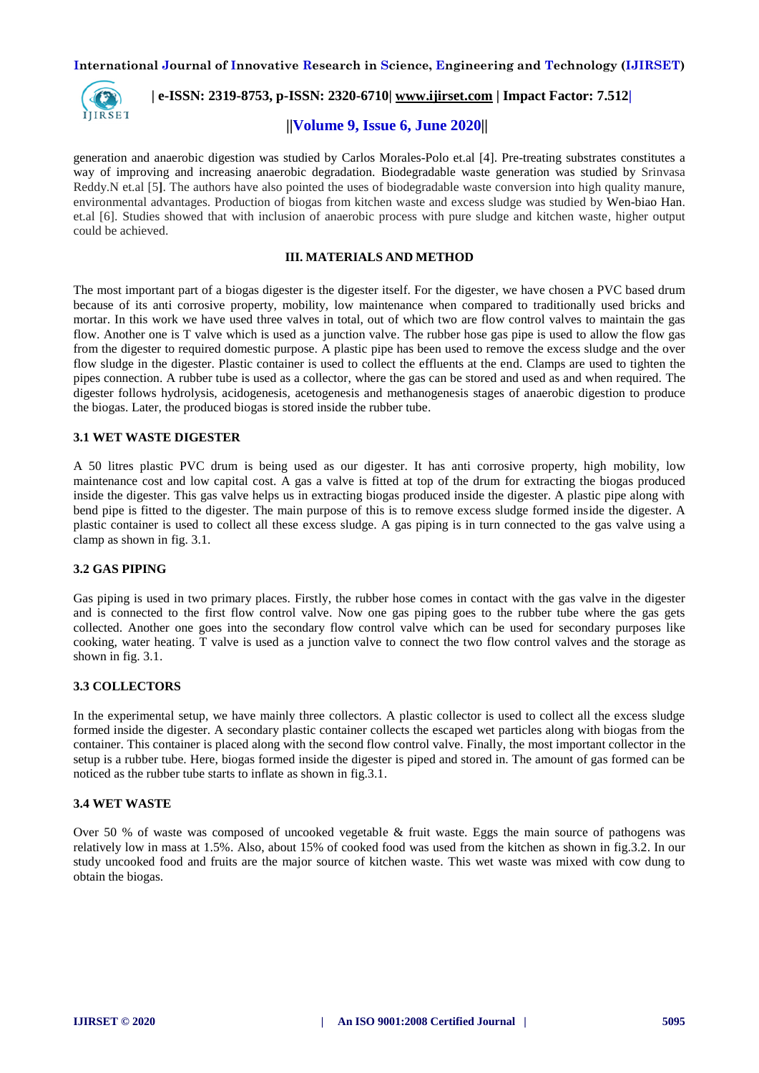

 **| e-ISSN: 2319-8753, p-ISSN: 2320-6710| [www.ijirset.com](http://www.ijirset.com/) | Impact Factor: 7.512|**

### **||Volume 9, Issue 6, June 2020||**

generation and anaerobic digestion was studied by Carlos Morales-Polo et.al [4]. Pre-treating substrates constitutes a way of improving and increasing anaerobic degradation. Biodegradable waste generation was studied by Srinvasa Reddy.N et.al [5**]**. The authors have also pointed the uses of biodegradable waste conversion into high quality manure, environmental advantages. Production of biogas from kitchen waste and excess sludge was studied by Wen-biao Han. et.al [6]. Studies showed that with inclusion of anaerobic process with pure sludge and kitchen waste, higher output could be achieved.

### **III. MATERIALS AND METHOD**

The most important part of a biogas digester is the digester itself. For the digester, we have chosen a PVC based drum because of its anti corrosive property, mobility, low maintenance when compared to traditionally used bricks and mortar. In this work we have used three valves in total, out of which two are flow control valves to maintain the gas flow. Another one is T valve which is used as a junction valve. The rubber hose gas pipe is used to allow the flow gas from the digester to required domestic purpose. A plastic pipe has been used to remove the excess sludge and the over flow sludge in the digester. Plastic container is used to collect the effluents at the end. Clamps are used to tighten the pipes connection. A rubber tube is used as a collector, where the gas can be stored and used as and when required. The digester follows hydrolysis, acidogenesis, acetogenesis and methanogenesis stages of anaerobic digestion to produce the biogas. Later, the produced biogas is stored inside the rubber tube.

### **3.1 WET WASTE DIGESTER**

A 50 litres plastic PVC drum is being used as our digester. It has anti corrosive property, high mobility, low maintenance cost and low capital cost. A gas a valve is fitted at top of the drum for extracting the biogas produced inside the digester. This gas valve helps us in extracting biogas produced inside the digester. A plastic pipe along with bend pipe is fitted to the digester. The main purpose of this is to remove excess sludge formed inside the digester. A plastic container is used to collect all these excess sludge. A gas piping is in turn connected to the gas valve using a clamp as shown in fig. 3.1.

### **3.2 GAS PIPING**

Gas piping is used in two primary places. Firstly, the rubber hose comes in contact with the gas valve in the digester and is connected to the first flow control valve. Now one gas piping goes to the rubber tube where the gas gets collected. Another one goes into the secondary flow control valve which can be used for secondary purposes like cooking, water heating. T valve is used as a junction valve to connect the two flow control valves and the storage as shown in fig. 3.1.

#### **3.3 COLLECTORS**

In the experimental setup, we have mainly three collectors. A plastic collector is used to collect all the excess sludge formed inside the digester. A secondary plastic container collects the escaped wet particles along with biogas from the container. This container is placed along with the second flow control valve. Finally, the most important collector in the setup is a rubber tube. Here, biogas formed inside the digester is piped and stored in. The amount of gas formed can be noticed as the rubber tube starts to inflate as shown in fig.3.1.

### **3.4 WET WASTE**

Over 50 % of waste was composed of uncooked vegetable & fruit waste. Eggs the main source of pathogens was relatively low in mass at 1.5%. Also, about 15% of cooked food was used from the kitchen as shown in fig.3.2. In our study uncooked food and fruits are the major source of kitchen waste. This wet waste was mixed with cow dung to obtain the biogas.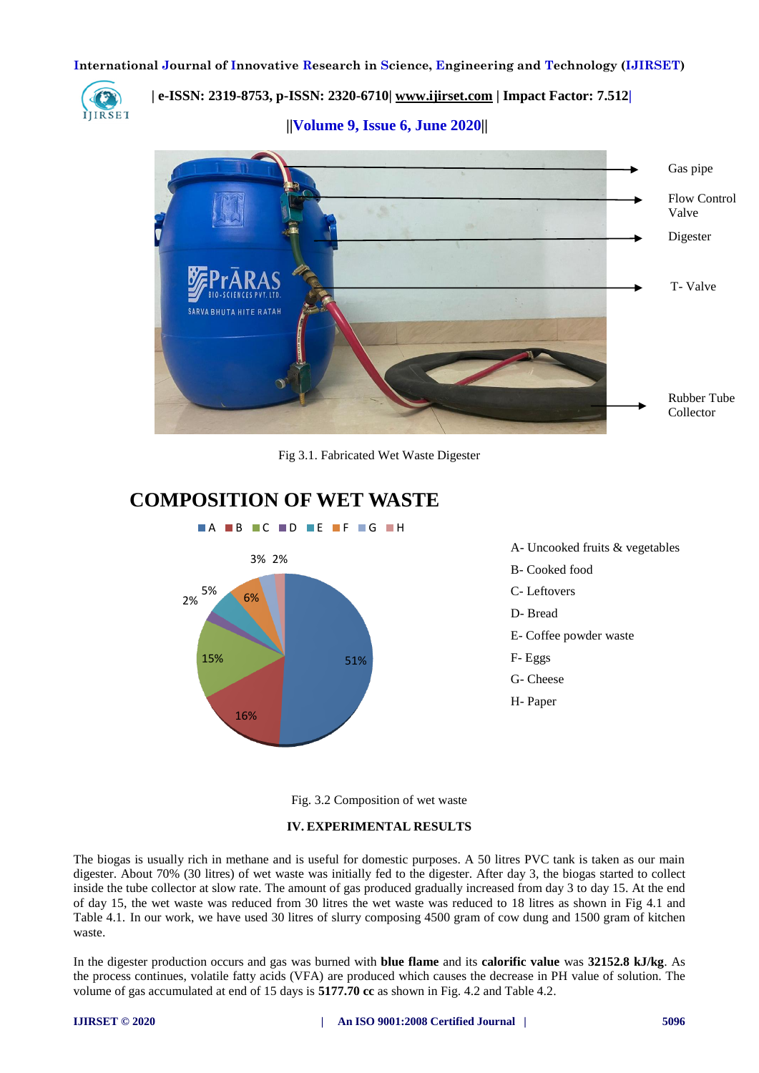

 **| e-ISSN: 2319-8753, p-ISSN: 2320-6710| [www.ijirset.com](http://www.ijirset.com/) | Impact Factor: 7.512|**

 **||Volume 9, Issue 6, June 2020||** 



Fig 3.1. Fabricated Wet Waste Digester

# **COMPOSITION OF WET WASTE**



Fig. 3.2 Composition of wet waste

#### **IV. EXPERIMENTAL RESULTS**

The biogas is usually rich in methane and is useful for domestic purposes. A 50 litres PVC tank is taken as our main digester. About 70% (30 litres) of wet waste was initially fed to the digester. After day 3, the biogas started to collect inside the tube collector at slow rate. The amount of gas produced gradually increased from day 3 to day 15. At the end of day 15, the wet waste was reduced from 30 litres the wet waste was reduced to 18 litres as shown in Fig 4.1 and Table 4.1. In our work, we have used 30 litres of slurry composing 4500 gram of cow dung and 1500 gram of kitchen waste.

In the digester production occurs and gas was burned with **blue flame** and its **calorific value** was **32152.8 kJ/kg**. As the process continues, volatile fatty acids (VFA) are produced which causes the decrease in PH value of solution. The volume of gas accumulated at end of 15 days is **5177.70 cc** as shown in Fig. 4.2 and Table 4.2.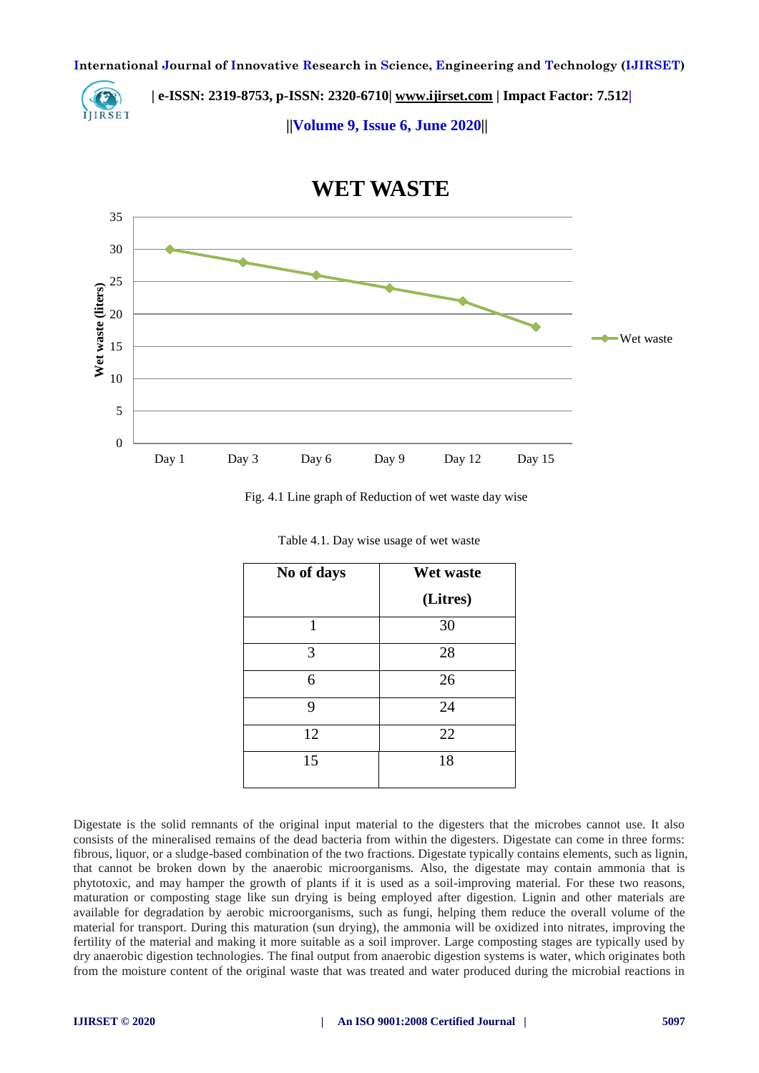

 **| e-ISSN: 2319-8753, p-ISSN: 2320-6710| [www.ijirset.com](http://www.ijirset.com/) | Impact Factor: 7.512|**

 **||Volume 9, Issue 6, June 2020||** 



# **WET WASTE**

Fig. 4.1 Line graph of Reduction of wet waste day wise

| No of days | Wet waste |  |  |
|------------|-----------|--|--|
|            | (Litres)  |  |  |
| 1          | 30        |  |  |
| 3          | 28        |  |  |
| 6          | 26        |  |  |
| 9          | 24        |  |  |
| 12         | 22        |  |  |
| 15         | 18        |  |  |

Table 4.1. Day wise usage of wet waste

Digestate is the solid remnants of the original input material to the digesters that the microbes cannot use. It also consists of the mineralised remains of the dead bacteria from within the digesters. Digestate can come in three forms: fibrous, liquor, or a sludge-based combination of the two fractions. Digestate typically contains elements, such as lignin, that cannot be broken down by the anaerobic microorganisms. Also, the digestate may contain ammonia that is phytotoxic, and may hamper the growth of plants if it is used as a soil-improving material. For these two reasons, maturation or composting stage like sun drying is being employed after digestion. Lignin and other materials are available for degradation by aerobic microorganisms, such as fungi, helping them reduce the overall volume of the material for transport. During this maturation (sun drying), the ammonia will be oxidized into nitrates, improving the fertility of the material and making it more suitable as a soil improver. Large composting stages are typically used by dry anaerobic digestion technologies. The final output from anaerobic digestion systems is water, which originates both from the moisture content of the original waste that was treated and water produced during the microbial reactions in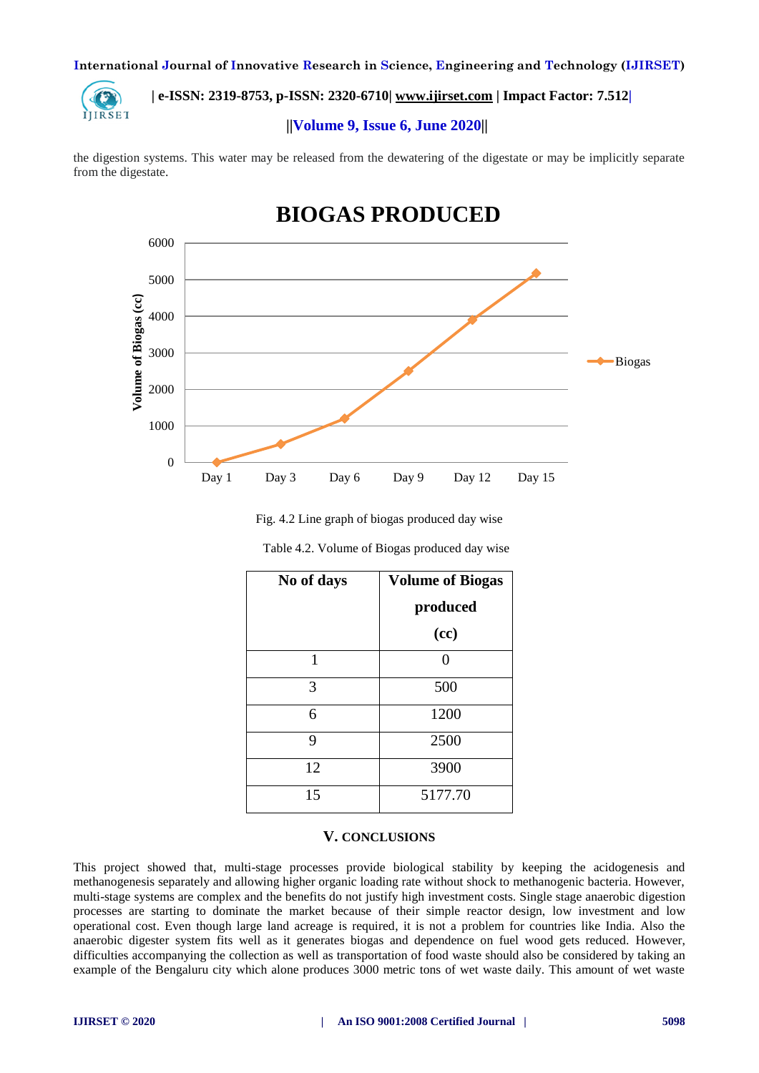

# **| e-ISSN: 2319-8753, p-ISSN: 2320-6710| [www.ijirset.com](http://www.ijirset.com/) | Impact Factor: 7.512|**

## **||Volume 9, Issue 6, June 2020||**

the digestion systems. This water may be released from the dewatering of the digestate or may be implicitly separate from the digestate.



# **BIOGAS PRODUCED**

Fig. 4.2 Line graph of biogas produced day wise

| No of days | <b>Volume of Biogas</b> |  |  |
|------------|-------------------------|--|--|
|            | produced                |  |  |
|            | (cc)                    |  |  |
| 1          |                         |  |  |
| 3          | 500                     |  |  |
| 6          | 1200                    |  |  |
| 9          | 2500                    |  |  |
| 12         | 3900                    |  |  |
| 15         | 5177.70                 |  |  |

| Table 4.2. Volume of Biogas produced day wise |  |  |
|-----------------------------------------------|--|--|
|                                               |  |  |

### **V. CONCLUSIONS**

This project showed that, multi-stage processes provide biological stability by keeping the acidogenesis and methanogenesis separately and allowing higher organic loading rate without shock to methanogenic bacteria. However, multi-stage systems are complex and the benefits do not justify high investment costs. Single stage anaerobic digestion processes are starting to dominate the market because of their simple reactor design, low investment and low operational cost. Even though large land acreage is required, it is not a problem for countries like India. Also the anaerobic digester system fits well as it generates biogas and dependence on fuel wood gets reduced. However, difficulties accompanying the collection as well as transportation of food waste should also be considered by taking an example of the Bengaluru city which alone produces 3000 metric tons of wet waste daily. This amount of wet waste